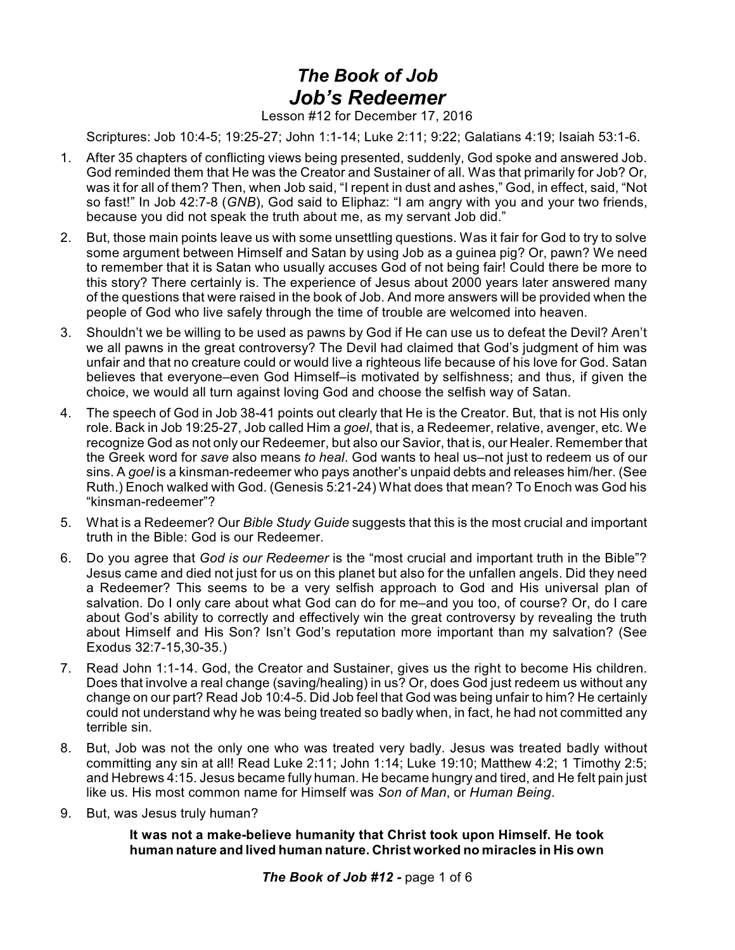## *The Book of Job Job's Redeemer*

Lesson #12 for December 17, 2016

Scriptures: Job 10:4-5; 19:25-27; John 1:1-14; Luke 2:11; 9:22; Galatians 4:19; Isaiah 53:1-6.

- 1. After 35 chapters of conflicting views being presented, suddenly, God spoke and answered Job. God reminded them that He was the Creator and Sustainer of all. Was that primarily for Job? Or, was it for all of them? Then, when Job said, "I repent in dust and ashes," God, in effect, said, "Not so fast!" In Job 42:7-8 (*GNB*), God said to Eliphaz: "I am angry with you and your two friends, because you did not speak the truth about me, as my servant Job did."
- 2. But, those main points leave us with some unsettling questions. Was it fair for God to try to solve some argument between Himself and Satan by using Job as a guinea pig? Or, pawn? We need to remember that it is Satan who usually accuses God of not being fair! Could there be more to this story? There certainly is. The experience of Jesus about 2000 years later answered many of the questions that were raised in the book of Job. And more answers will be provided when the people of God who live safely through the time of trouble are welcomed into heaven.
- 3. Shouldn't we be willing to be used as pawns by God if He can use us to defeat the Devil? Aren't we all pawns in the great controversy? The Devil had claimed that God's judgment of him was unfair and that no creature could or would live a righteous life because of his love for God. Satan believes that everyone–even God Himself–is motivated by selfishness; and thus, if given the choice, we would all turn against loving God and choose the selfish way of Satan.
- 4. The speech of God in Job 38-41 points out clearly that He is the Creator. But, that is not His only role. Back in Job 19:25-27, Job called Him a *goel*, that is, a Redeemer, relative, avenger, etc. We recognize God as not only our Redeemer, but also our Savior, that is, our Healer. Remember that the Greek word for *save* also means *to heal*. God wants to heal us–not just to redeem us of our sins. A *goel* is a kinsman-redeemer who pays another's unpaid debts and releases him/her. (See Ruth.) Enoch walked with God. (Genesis 5:21-24) What does that mean? To Enoch was God his "kinsman-redeemer"?
- 5. What is a Redeemer? Our *Bible Study Guide* suggests that this is the most crucial and important truth in the Bible: God is our Redeemer.
- 6. Do you agree that *God is our Redeemer* is the "most crucial and important truth in the Bible"? Jesus came and died not just for us on this planet but also for the unfallen angels. Did they need a Redeemer? This seems to be a very selfish approach to God and His universal plan of salvation. Do I only care about what God can do for me–and you too, of course? Or, do I care about God's ability to correctly and effectively win the great controversy by revealing the truth about Himself and His Son? Isn't God's reputation more important than my salvation? (See Exodus 32:7-15,30-35.)
- 7. Read John 1:1-14. God, the Creator and Sustainer, gives us the right to become His children. Does that involve a real change (saving/healing) in us? Or, does God just redeem us without any change on our part? Read Job 10:4-5. Did Job feel that God was being unfair to him? He certainly could not understand why he was being treated so badly when, in fact, he had not committed any terrible sin.
- 8. But, Job was not the only one who was treated very badly. Jesus was treated badly without committing any sin at all! Read Luke 2:11; John 1:14; Luke 19:10; Matthew 4:2; 1 Timothy 2:5; and Hebrews 4:15. Jesus became fully human. He became hungry and tired, and He felt pain just like us. His most common name for Himself was *Son of Man*, or *Human Being*.
- 9. But, was Jesus truly human?

## **It was not a make-believe humanity that Christ took upon Himself. He took human nature and lived human nature. Christ worked no miracles in His own**

*The Book of Job #12 -* page 1 of 6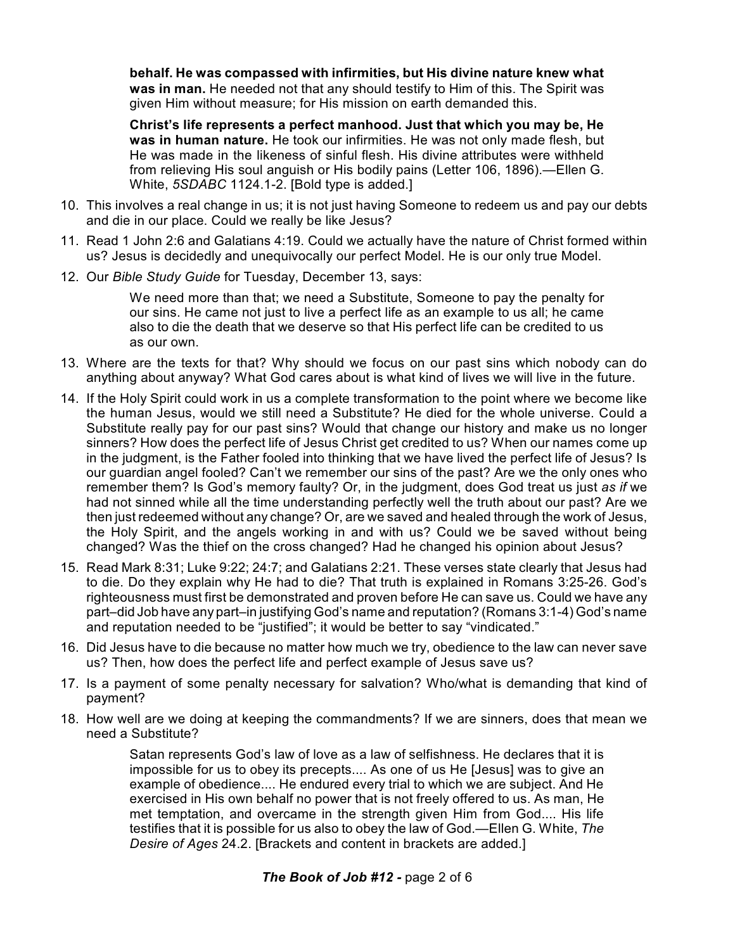**behalf. He was compassed with infirmities, but His divine nature knew what was in man.** He needed not that any should testify to Him of this. The Spirit was given Him without measure; for His mission on earth demanded this.

**Christ's life represents a perfect manhood. Just that which you may be, He was in human nature.** He took our infirmities. He was not only made flesh, but He was made in the likeness of sinful flesh. His divine attributes were withheld from relieving His soul anguish or His bodily pains (Letter 106, 1896).—Ellen G. White, *5SDABC* 1124.1-2. [Bold type is added.]

- 10. This involves a real change in us; it is not just having Someone to redeem us and pay our debts and die in our place. Could we really be like Jesus?
- 11. Read 1 John 2:6 and Galatians 4:19. Could we actually have the nature of Christ formed within us? Jesus is decidedly and unequivocally our perfect Model. He is our only true Model.
- 12. Our *Bible Study Guide* for Tuesday, December 13, says:

We need more than that; we need a Substitute, Someone to pay the penalty for our sins. He came not just to live a perfect life as an example to us all; he came also to die the death that we deserve so that His perfect life can be credited to us as our own.

- 13. Where are the texts for that? Why should we focus on our past sins which nobody can do anything about anyway? What God cares about is what kind of lives we will live in the future.
- 14. If the Holy Spirit could work in us a complete transformation to the point where we become like the human Jesus, would we still need a Substitute? He died for the whole universe. Could a Substitute really pay for our past sins? Would that change our history and make us no longer sinners? How does the perfect life of Jesus Christ get credited to us? When our names come up in the judgment, is the Father fooled into thinking that we have lived the perfect life of Jesus? Is our guardian angel fooled? Can't we remember our sins of the past? Are we the only ones who remember them? Is God's memory faulty? Or, in the judgment, does God treat us just *as if* we had not sinned while all the time understanding perfectly well the truth about our past? Are we then just redeemed without any change? Or, are we saved and healed through the work of Jesus, the Holy Spirit, and the angels working in and with us? Could we be saved without being changed? Was the thief on the cross changed? Had he changed his opinion about Jesus?
- 15. Read Mark 8:31; Luke 9:22; 24:7; and Galatians 2:21. These verses state clearly that Jesus had to die. Do they explain why He had to die? That truth is explained in Romans 3:25-26. God's righteousness must first be demonstrated and proven before He can save us. Could we have any part–did Job have any part–in justifying God's name and reputation? (Romans 3:1-4) God's name and reputation needed to be "justified"; it would be better to say "vindicated."
- 16. Did Jesus have to die because no matter how much we try, obedience to the law can never save us? Then, how does the perfect life and perfect example of Jesus save us?
- 17. Is a payment of some penalty necessary for salvation? Who/what is demanding that kind of payment?
- 18. How well are we doing at keeping the commandments? If we are sinners, does that mean we need a Substitute?

Satan represents God's law of love as a law of selfishness. He declares that it is impossible for us to obey its precepts.... As one of us He [Jesus] was to give an example of obedience.... He endured every trial to which we are subject. And He exercised in His own behalf no power that is not freely offered to us. As man, He met temptation, and overcame in the strength given Him from God.... His life testifies that it is possible for us also to obey the law of God.—Ellen G. White, *The Desire of Ages* 24.2. [Brackets and content in brackets are added.]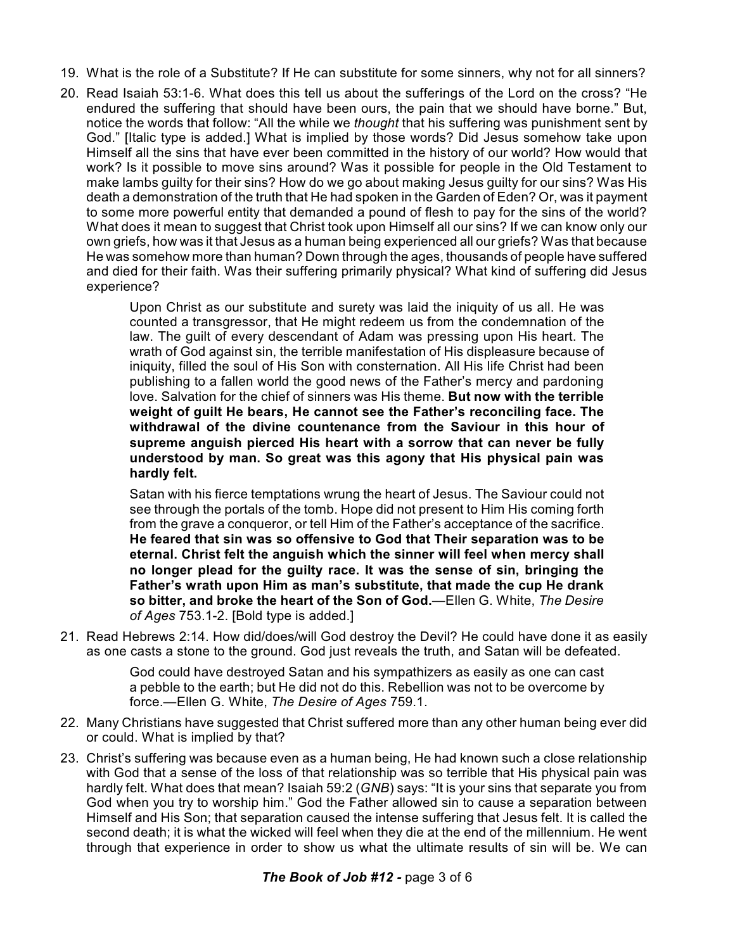- 19. What is the role of a Substitute? If He can substitute for some sinners, why not for all sinners?
- 20. Read Isaiah 53:1-6. What does this tell us about the sufferings of the Lord on the cross? "He endured the suffering that should have been ours, the pain that we should have borne." But, notice the words that follow: "All the while we *thought* that his suffering was punishment sent by God." [Italic type is added.] What is implied by those words? Did Jesus somehow take upon Himself all the sins that have ever been committed in the history of our world? How would that work? Is it possible to move sins around? Was it possible for people in the Old Testament to make lambs guilty for their sins? How do we go about making Jesus guilty for our sins? Was His death a demonstration of the truth that He had spoken in the Garden of Eden? Or, was it payment to some more powerful entity that demanded a pound of flesh to pay for the sins of the world? What does it mean to suggest that Christ took upon Himself all our sins? If we can know only our own griefs, how was it that Jesus as a human being experienced all our griefs? Was that because He was somehow more than human? Down through the ages, thousands of people have suffered and died for their faith. Was their suffering primarily physical? What kind of suffering did Jesus experience?

Upon Christ as our substitute and surety was laid the iniquity of us all. He was counted a transgressor, that He might redeem us from the condemnation of the law. The guilt of every descendant of Adam was pressing upon His heart. The wrath of God against sin, the terrible manifestation of His displeasure because of iniquity, filled the soul of His Son with consternation. All His life Christ had been publishing to a fallen world the good news of the Father's mercy and pardoning love. Salvation for the chief of sinners was His theme. **But now with the terrible weight of guilt He bears, He cannot see the Father's reconciling face. The withdrawal of the divine countenance from the Saviour in this hour of supreme anguish pierced His heart with a sorrow that can never be fully understood by man. So great was this agony that His physical pain was hardly felt.**

Satan with his fierce temptations wrung the heart of Jesus. The Saviour could not see through the portals of the tomb. Hope did not present to Him His coming forth from the grave a conqueror, or tell Him of the Father's acceptance of the sacrifice. **He feared that sin was so offensive to God that Their separation was to be eternal. Christ felt the anguish which the sinner will feel when mercy shall no longer plead for the guilty race. It was the sense of sin, bringing the Father's wrath upon Him as man's substitute, that made the cup He drank so bitter, and broke the heart of the Son of God.**—Ellen G. White, *The Desire of Ages* 753.1-2. [Bold type is added.]

21. Read Hebrews 2:14. How did/does/will God destroy the Devil? He could have done it as easily as one casts a stone to the ground. God just reveals the truth, and Satan will be defeated.

> God could have destroyed Satan and his sympathizers as easily as one can cast a pebble to the earth; but He did not do this. Rebellion was not to be overcome by force.—Ellen G. White, *The Desire of Ages* 759.1.

- 22. Many Christians have suggested that Christ suffered more than any other human being ever did or could. What is implied by that?
- 23. Christ's suffering was because even as a human being, He had known such a close relationship with God that a sense of the loss of that relationship was so terrible that His physical pain was hardly felt. What does that mean? Isaiah 59:2 (*GNB*) says: "It is your sins that separate you from God when you try to worship him." God the Father allowed sin to cause a separation between Himself and His Son; that separation caused the intense suffering that Jesus felt. It is called the second death; it is what the wicked will feel when they die at the end of the millennium. He went through that experience in order to show us what the ultimate results of sin will be. We can

## *The Book of Job #12 -* page 3 of 6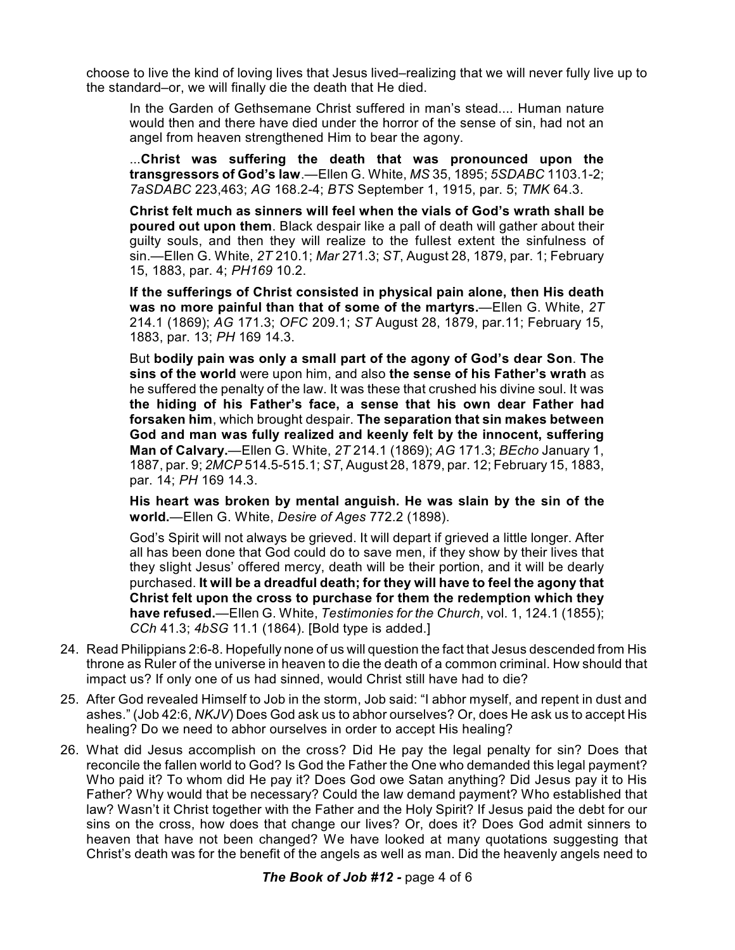choose to live the kind of loving lives that Jesus lived–realizing that we will never fully live up to the standard–or, we will finally die the death that He died.

In the Garden of Gethsemane Christ suffered in man's stead.... Human nature would then and there have died under the horror of the sense of sin, had not an angel from heaven strengthened Him to bear the agony.

...**Christ was suffering the death that was pronounced upon the transgressors of God's law**.—Ellen G. White, *MS* 35, 1895; *5SDABC* 1103.1-2; *7aSDABC* 223,463; *AG* 168.2-4; *BTS* September 1, 1915, par. 5; *TMK* 64.3.

**Christ felt much as sinners will feel when the vials of God's wrath shall be poured out upon them**. Black despair like a pall of death will gather about their guilty souls, and then they will realize to the fullest extent the sinfulness of sin.—Ellen G. White, *2T* 210.1; *Mar* 271.3; *ST*, August 28, 1879, par. 1; February 15, 1883, par. 4; *PH169* 10.2.

**If the sufferings of Christ consisted in physical pain alone, then His death was no more painful than that of some of the martyrs.**—Ellen G. White, *2T* 214.1 (1869); *AG* 171.3; *OFC* 209.1; *ST* August 28, 1879, par.11; February 15, 1883, par. 13; *PH* 169 14.3.

But **bodily pain was only a small part of the agony of God's dear Son**. **The sins of the world** were upon him, and also **the sense of his Father's wrath** as he suffered the penalty of the law. It was these that crushed his divine soul. It was **the hiding of his Father's face, a sense that his own dear Father had forsaken him**, which brought despair. **The separation that sin makes between God and man was fully realized and keenly felt by the innocent, suffering Man of Calvary.**—Ellen G. White, *2T* 214.1 (1869); *AG* 171.3; *BEcho* January 1, 1887, par. 9; *2MCP* 514.5-515.1; *ST*, August 28, 1879, par. 12; February 15, 1883, par. 14; *PH* 169 14.3.

**His heart was broken by mental anguish. He was slain by the sin of the world.**—Ellen G. White, *Desire of Ages* 772.2 (1898).

God's Spirit will not always be grieved. It will depart if grieved a little longer. After all has been done that God could do to save men, if they show by their lives that they slight Jesus' offered mercy, death will be their portion, and it will be dearly purchased. **It will be a dreadful death; for they will have to feel the agony that Christ felt upon the cross to purchase for them the redemption which they have refused.**—Ellen G. White, *Testimonies for the Church*, vol. 1, 124.1 (1855); *CCh* 41.3; *4bSG* 11.1 (1864). [Bold type is added.]

- 24. Read Philippians 2:6-8. Hopefully none of us will question the fact that Jesus descended from His throne as Ruler of the universe in heaven to die the death of a common criminal. How should that impact us? If only one of us had sinned, would Christ still have had to die?
- 25. After God revealed Himself to Job in the storm, Job said: "I abhor myself, and repent in dust and ashes." (Job 42:6, *NKJV*) Does God ask us to abhor ourselves? Or, does He ask us to accept His healing? Do we need to abhor ourselves in order to accept His healing?
- 26. What did Jesus accomplish on the cross? Did He pay the legal penalty for sin? Does that reconcile the fallen world to God? Is God the Father the One who demanded this legal payment? Who paid it? To whom did He pay it? Does God owe Satan anything? Did Jesus pay it to His Father? Why would that be necessary? Could the law demand payment? Who established that law? Wasn't it Christ together with the Father and the Holy Spirit? If Jesus paid the debt for our sins on the cross, how does that change our lives? Or, does it? Does God admit sinners to heaven that have not been changed? We have looked at many quotations suggesting that Christ's death was for the benefit of the angels as well as man. Did the heavenly angels need to

## *The Book of Job #12 -* page 4 of 6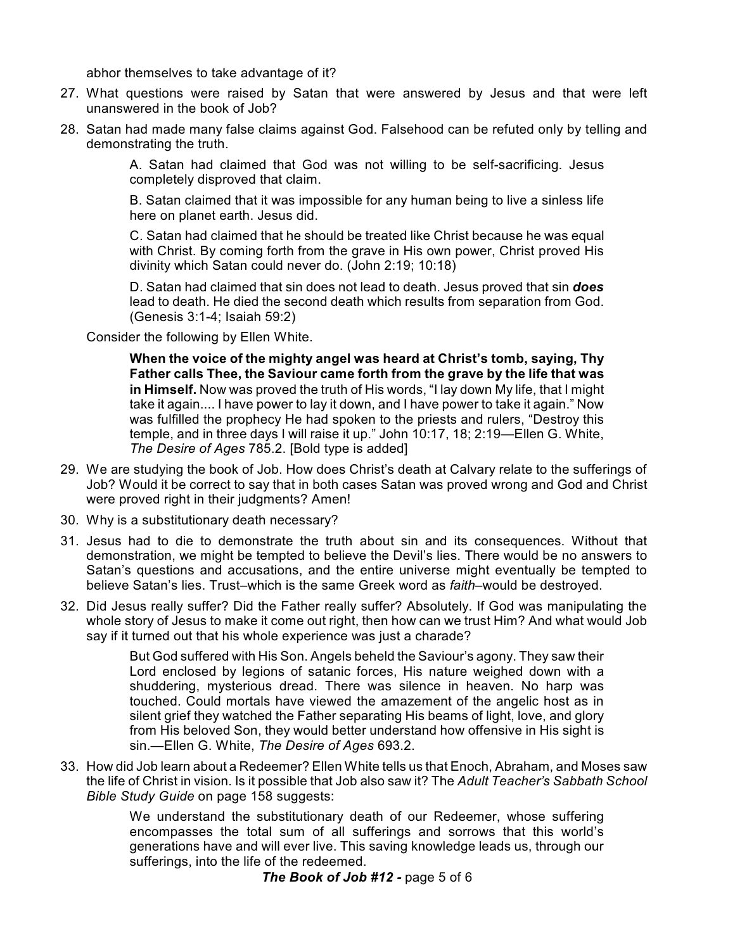abhor themselves to take advantage of it?

- 27. What questions were raised by Satan that were answered by Jesus and that were left unanswered in the book of Job?
- 28. Satan had made many false claims against God. Falsehood can be refuted only by telling and demonstrating the truth.

A. Satan had claimed that God was not willing to be self-sacrificing. Jesus completely disproved that claim.

B. Satan claimed that it was impossible for any human being to live a sinless life here on planet earth. Jesus did.

C. Satan had claimed that he should be treated like Christ because he was equal with Christ. By coming forth from the grave in His own power, Christ proved His divinity which Satan could never do. (John 2:19; 10:18)

D. Satan had claimed that sin does not lead to death. Jesus proved that sin *does* lead to death. He died the second death which results from separation from God. (Genesis 3:1-4; Isaiah 59:2)

Consider the following by Ellen White.

**When the voice of the mighty angel was heard at Christ's tomb, saying, Thy Father calls Thee, the Saviour came forth from the grave by the life that was in Himself.** Now was proved the truth of His words, "I lay down My life, that I might take it again.... I have power to lay it down, and I have power to take it again." Now was fulfilled the prophecy He had spoken to the priests and rulers, "Destroy this temple, and in three days I will raise it up." John 10:17, 18; 2:19—Ellen G. White, *The Desire of Ages* 785.2. [Bold type is added]

- 29. We are studying the book of Job. How does Christ's death at Calvary relate to the sufferings of Job? Would it be correct to say that in both cases Satan was proved wrong and God and Christ were proved right in their judgments? Amen!
- 30. Why is a substitutionary death necessary?
- 31. Jesus had to die to demonstrate the truth about sin and its consequences. Without that demonstration, we might be tempted to believe the Devil's lies. There would be no answers to Satan's questions and accusations, and the entire universe might eventually be tempted to believe Satan's lies. Trust–which is the same Greek word as *faith*–would be destroyed.
- 32. Did Jesus really suffer? Did the Father really suffer? Absolutely. If God was manipulating the whole story of Jesus to make it come out right, then how can we trust Him? And what would Job say if it turned out that his whole experience was just a charade?

But God suffered with His Son. Angels beheld the Saviour's agony. They saw their Lord enclosed by legions of satanic forces, His nature weighed down with a shuddering, mysterious dread. There was silence in heaven. No harp was touched. Could mortals have viewed the amazement of the angelic host as in silent grief they watched the Father separating His beams of light, love, and glory from His beloved Son, they would better understand how offensive in His sight is sin.—Ellen G. White, *The Desire of Ages* 693.2.

33. How did Job learn about a Redeemer? Ellen White tells us that Enoch, Abraham, and Moses saw the life of Christ in vision. Is it possible that Job also saw it? The *Adult Teacher's Sabbath School Bible Study Guide* on page 158 suggests:

> We understand the substitutionary death of our Redeemer, whose suffering encompasses the total sum of all sufferings and sorrows that this world's generations have and will ever live. This saving knowledge leads us, through our sufferings, into the life of the redeemed.